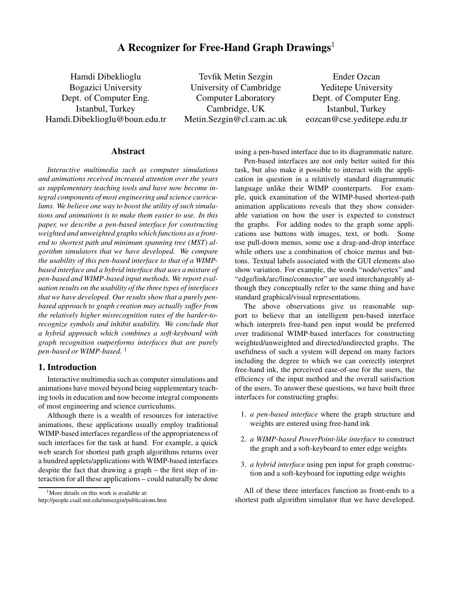# **A Recognizer for Free-Hand Graph Drawings**<sup>1</sup>

Hamdi Dibeklioglu Bogazici University Dept. of Computer Eng. Istanbul, Turkey Hamdi.Dibeklioglu@boun.edu.tr

Tevfik Metin Sezgin University of Cambridge Computer Laboratory Cambridge, UK Metin.Sezgin@cl.cam.ac.uk

Ender Ozcan Yeditepe University Dept. of Computer Eng. Istanbul, Turkey eozcan@cse.yeditepe.edu.tr

# **Abstract**

*Interactive multimedia such as computer simulations and animations received increased attention over the years as supplementary teaching tools and have now become integral components of most engineering and science curriculums. We believe one way to boost the utility of such simulations and animations is to make them easier to use. In this paper, we describe a pen-based interface for constructing weighted and unweighted graphs which functions as a frontend to shortest path and minimum spanning tree (MST) algorithm simulators that we have developed. We compare the usability of this pen-based interface to that of a WIMPbased interface and a hybrid interface that uses a mixture of pen-based and WIMP-based input methods. We report evaluation results on the usability of the three types of interfaces that we have developed. Our results show that a purely penbased approach to graph creation may actually suffer from the relatively higher misrecognition rates of the harder-torecognize symbols and inhibit usability. We conclude that a hybrid approach which combines a soft-keyboard with graph recognition outperforms interfaces that are purely pen-based or WIMP-based.* <sup>1</sup>

# **1. Introduction**

Interactive multimedia such as computer simulations and animations have moved beyond being supplementary teaching tools in education and now become integral components of most engineering and science curriculums.

Although there is a wealth of resources for interactive animations, these applications usually employ traditional WIMP-based interfaces regardless of the appropriateness of such interfaces for the task at hand. For example, a quick web search for shortest path graph algorithms returns over a hundred applets/applications with WIMP-based interfaces despite the fact that drawing a graph – the first step of interaction for all these applications – could naturally be done

using a pen-based interface due to its diagrammatic nature.

Pen-based interfaces are not only better suited for this task, but also make it possible to interact with the application in question in a relatively standard diagrammatic language unlike their WIMP counterparts. For example, quick examination of the WIMP-based shortest-path animation applications reveals that they show considerable variation on how the user is expected to construct the graphs. For adding nodes to the graph some applications use buttons with images, text, or both. Some use pull-down menus, some use a drag-and-drop interface while others use a combination of choice menus and buttons. Textual labels associated with the GUI elements also show variation. For example, the words "node/vertex" and "edge/link/arc/line/connector" are used interchangeably although they conceptually refer to the same thing and have standard graphical/visual representations.

The above observations give us reasonable support to believe that an intelligent pen-based interface which interprets free-hand pen input would be preferred over traditional WIMP-based interfaces for constructing weighted/unweighted and directed/undirected graphs. The usefulness of such a system will depend on many factors including the degree to which we can correctly interpret free-hand ink, the perceived ease-of-use for the users, the efficiency of the input method and the overall satisfaction of the users. To answer these questions, we have built three interfaces for constructing graphs:

- 1. *a pen-based interface* where the graph structure and weights are entered using free-hand ink
- 2. *a WIMP-based PowerPoint-like interface* to construct the graph and a soft-keyboard to enter edge weights
- 3. *a hybrid interface* using pen input for graph construction and a soft-keyboard for inputting edge weights

All of these three interfaces function as front-ends to a shortest path algorithm simulator that we have developed.

<sup>&</sup>lt;sup>1</sup>More details on this work is available at: http://people.csail.mit.edu/mtsezgin/publications.htm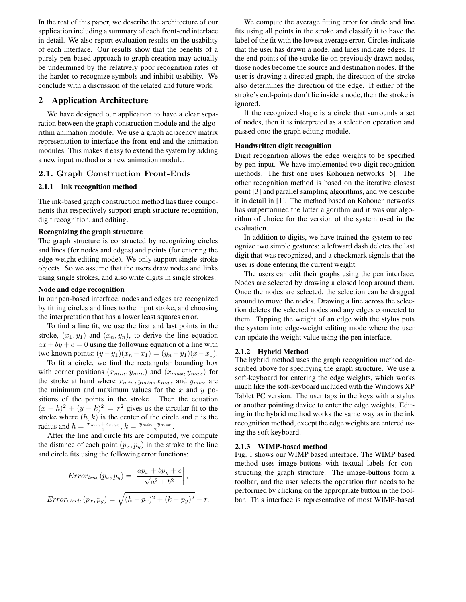In the rest of this paper, we describe the architecture of our application including a summary of each front-end interface in detail. We also report evaluation results on the usability of each interface. Our results show that the benefits of a purely pen-based approach to graph creation may actually be undermined by the relatively poor recognition rates of the harder-to-recognize symbols and inhibit usability. We conclude with a discussion of the related and future work.

# **2 Application Architecture**

We have designed our application to have a clear separation between the graph construction module and the algorithm animation module. We use a graph adjacency matrix representation to interface the front-end and the animation modules. This makes it easy to extend the system by adding a new input method or a new animation module.

# **2.1. Graph Construction Front-Ends**

## **2.1.1 Ink recognition method**

The ink-based graph construction method has three components that respectively support graph structure recognition, digit recognition, and editing.

#### **Recognizing the graph structure**

The graph structure is constructed by recognizing circles and lines (for nodes and edges) and points (for entering the edge-weight editing mode). We only support single stroke objects. So we assume that the users draw nodes and links using single strokes, and also write digits in single strokes.

#### **Node and edge recognition**

In our pen-based interface, nodes and edges are recognized by fitting circles and lines to the input stroke, and choosing the interpretation that has a lower least squares error.

To find a line fit, we use the first and last points in the stroke,  $(x_1, y_1)$  and  $(x_n, y_n)$ , to derive the line equation  $ax + by + c = 0$  using the following equation of a line with two known points:  $(y - y_1)(x_n - x_1) = (y_n - y_1)(x - x_1)$ .

To fit a circle, we find the rectangular bounding box with corner positions  $(x_{min}, y_{min})$  and  $(x_{max}, y_{max})$  for the stroke at hand where  $x_{min}$ ,  $y_{min}$ ,  $x_{max}$  and  $y_{max}$  are the minimum and maximum values for the  $x$  and  $y$  positions of the points in the stroke. Then the equation  $(x-h)^2 + (y-k)^2 = r^2$  gives us the circular fit to the stroke where  $(h, k)$  is the center of the circle and r is the radius and  $h = \frac{x_{min} + x_{max}}{2}$ ,  $k = \frac{y_{min} + y_{max}}{2}$ .

After the line and circle fits are computed, we compute the distance of each point  $(p_x, p_y)$  in the stroke to the line and circle fits using the following error functions:

$$
Error_{line}(p_x, p_y) = \left| \frac{ap_x + bp_y + c}{\sqrt{a^2 + b^2}} \right|,
$$
  

$$
Error_{circle}(p_x, p_y) = \sqrt{(h - p_x)^2 + (k - p_y)^2} - r.
$$

We compute the average fitting error for circle and line fits using all points in the stroke and classify it to have the label of the fit with the lowest average error. Circles indicate that the user has drawn a node, and lines indicate edges. If the end points of the stroke lie on previously drawn nodes, those nodes become the source and destination nodes. If the user is drawing a directed graph, the direction of the stroke also determines the direction of the edge. If either of the stroke's end-points don't lie inside a node, then the stroke is ignored.

If the recognized shape is a circle that surrounds a set of nodes, then it is interpreted as a selection operation and passed onto the graph editing module.

#### **Handwritten digit recognition**

Digit recognition allows the edge weights to be specified by pen input. We have implemented two digit recognition methods. The first one uses Kohonen networks [5]. The other recognition method is based on the iterative closest point [3] and parallel sampling algorithms, and we describe it in detail in [1]. The method based on Kohonen networks has outperformed the latter algorithm and it was our algorithm of choice for the version of the system used in the evaluation.

In addition to digits, we have trained the system to recognize two simple gestures: a leftward dash deletes the last digit that was recognized, and a checkmark signals that the user is done entering the current weight.

The users can edit their graphs using the pen interface. Nodes are selected by drawing a closed loop around them. Once the nodes are selected, the selection can be dragged around to move the nodes. Drawing a line across the selection deletes the selected nodes and any edges connected to them. Tapping the weight of an edge with the stylus puts the system into edge-weight editing mode where the user can update the weight value using the pen interface.

#### **2.1.2 Hybrid Method**

The hybrid method uses the graph recognition method described above for specifying the graph structure. We use a soft-keyboard for entering the edge weights, which works much like the soft-keyboard included with the Windows XP Tablet PC version. The user taps in the keys with a stylus or another pointing device to enter the edge weights. Editing in the hybrid method works the same way as in the ink recognition method, except the edge weights are entered using the soft keyboard.

#### **2.1.3 WIMP-based method**

Fig. 1 shows our WIMP based interface. The WIMP based method uses image-buttons with textual labels for constructing the graph structure. The image-buttons form a toolbar, and the user selects the operation that needs to be performed by clicking on the appropriate button in the toolbar. This interface is representative of most WIMP-based